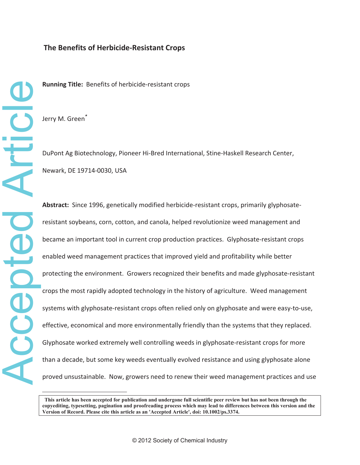# **The Benefits of HerbicideͲResistant Crops**

**Running Title:** Benefits of herbicide-resistant crops

Jerry M. Green*\**

DuPont Ag Biotechnology, Pioneer Hi-Bred International, Stine-Haskell Research Center, Newark, DE 19714-0030, USA

**Abstract:** Since 1996, genetically modified herbicide-resistant crops, primarily glyphosateresistant soybeans, corn, cotton, and canola, helped revolutionize weed management and became an important tool in current crop production practices. Glyphosate-resistant crops enabled weed management practices that improved yield and profitability while better protecting the environment. Growers recognized their benefits and made glyphosate-resistant crops the most rapidly adopted technology in the history of agriculture.Weed management systems with glyphosate-resistant crops often relied only on glyphosate and were easy-to-use, effective, economical and more environmentally friendly than the systems that they replaced. Glyphosate worked extremely well controlling weeds in glyphosate-resistant crops for more than a decade, but some key weeds eventually evolved resistance and using glyphosate alone proved unsustainable.Now, growers need to renew their weed management practices and use

 **This article has been accepted for publication and undergone full scientific peer review but has not been through the copyediting, typesetting, pagination and proofreading process which may lead to differences between this version and the Version of Record. Please cite this article as an 'Accepted Article', doi: 10.1002/ps.3374.**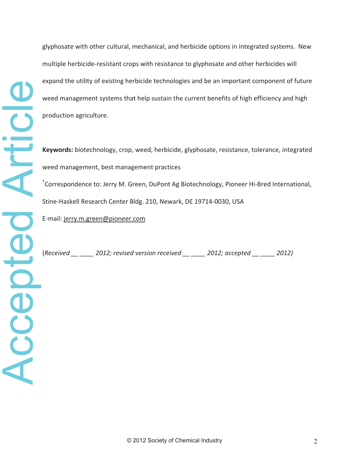glyphosate with other cultural, mechanical, and herbicide options in integrated systems. New multiple herbicide-resistant crops with resistance to glyphosate and other herbicides will expand the utility of existing herbicide technologies and be an important component of future weed management systems that help sustain the current benefits of high efficiency and high production agriculture.

**Keywords:** biotechnology, crop, weed, herbicide, glyphosate, resistance, tolerance, integrated weed management, best management practices

\*Correspondence to: Jerry M. Green, DuPont Ag Biotechnology, Pioneer Hi-Bred International, Stine-Haskell Research Center Bldg. 210, Newark, DE 19714-0030, USA

E-mail: jerry.m.green@pioneer.com

(*Received \_\_ \_\_\_\_ 2012; revised version received \_\_ \_\_\_\_ 2012; accepted \_\_ \_\_\_\_ 2012)*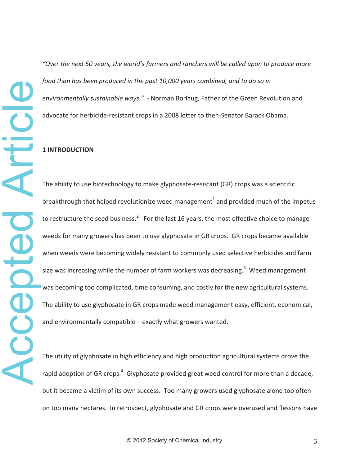*"Over the next 50 years, the world's farmers and ranchers will be called upon to produce more food than has been produced in the past 10,000 years combined, and to do so in environmentally sustainable ways.*" - Norman Borlaug, Father of the Green Revolution and advocate for herbicide-resistant crops in a 2008 letter to then-Senator Barack Obama.

### **1 INTRODUCTION**

The ability to use biotechnology to make glyphosate-resistant (GR) crops was a scientific breakthrough that helped revolutionize weed management<sup>1</sup> and provided much of the impetus to restructure the seed business.<sup>2</sup> For the last 16 years, the most effective choice to manage weeds for many growers has been to use glyphosate in GR crops. GR crops became available when weeds were becoming widely resistant to commonly used selective herbicides and farm size was increasing while the number of farm workers was decreasing.<sup>3</sup> Weed management was becoming too complicated, time consuming, and costly for the new agricultural systems. The ability to use glyphosate in GR crops made weed management easy, efficient, economical, and environmentally compatible – exactly what growers wanted.

The utility of glyphosate in high efficiency and high production agricultural systems drove the rapid adoption of GR crops.<sup>4</sup> Glyphosate provided great weed control for more than a decade, but it became a victim of its own success. Too many growers used glyphosate alone too often on too many hectares.In retrospect, glyphosate and GR crops were overused and 'lessons have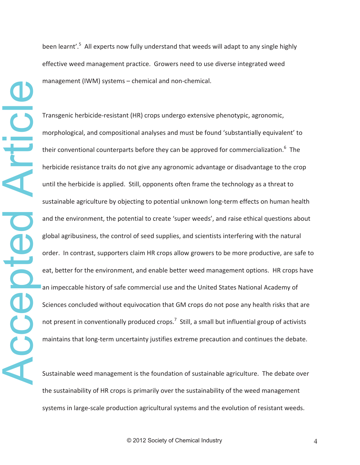been learnt'.<sup>5</sup> All experts now fully understand that weeds will adapt to any single highly effective weed management practice. Growers need to use diverse integrated weed management (IWM) systems – chemical and non-chemical.

Transgenic herbicide-resistant (HR) crops undergo extensive phenotypic, agronomic, morphological, and compositional analyses and must be found 'substantially equivalent' to their conventional counterparts before they can be approved for commercialization.<sup>6</sup> The herbicide resistance traits do not give any agronomic advantage or disadvantage to the crop until the herbicide is applied. Still, opponents often frame the technology as a threat to sustainable agriculture by objecting to potential unknown long-term effects on human health and the environment, the potential to create 'super weeds', and raise ethical questions about global agribusiness, the control of seed supplies, and scientists interfering with the natural order. In contrast, supporters claim HR crops allow growers to be more productive, are safe to eat, better for the environment, and enable better weed management options. HR crops have an impeccable history of safe commercial use and the United States National Academy of Sciences concluded without equivocation that GM crops do not pose any health risks that are not present in conventionally produced crops.<sup>7</sup> Still, a small but influential group of activists maintains that long-term uncertainty justifies extreme precaution and continues the debate.

Sustainable weed management is the foundation of sustainable agriculture. The debate over the sustainability of HR crops is primarily over the sustainability of the weed management systems in large-scale production agricultural systems and the evolution of resistant weeds.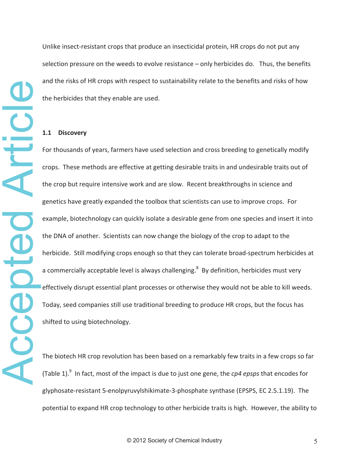Unlike insect-resistant crops that produce an insecticidal protein, HR crops do not put any selection pressure on the weeds to evolve resistance  $-$  only herbicides do. Thus, the benefits and the risks of HR crops with respect to sustainability relate to the benefits and risks of how the herbicides that they enable are used.

### **1.1 Discovery**

For thousands of years, farmers have used selection and cross breeding to genetically modify crops.These methods are effective at getting desirable traits in and undesirable traits out of the crop but require intensive work and are slow. Recent breakthroughs in science and genetics have greatly expanded the toolbox that scientists can use to improve crops. For example, biotechnology can quickly isolate a desirable gene from one species and insert it into the DNA of another. Scientists can now change the biology of the crop to adapt to the herbicide. Still modifying crops enough so that they can tolerate broad-spectrum herbicides at a commercially acceptable level is always challenging.<sup>8</sup> By definition, herbicides must very effectively disrupt essential plant processes or otherwise they would not be able to kill weeds. Today, seed companies still use traditional breeding to produce HR crops, but the focus has shifted to using biotechnology.

The biotech HR crop revolution has been based on a remarkably few traits in a few crops so far (Table 1).<sup>9</sup> In fact, most of the impact is due to just one gene, the *cp4 epsps* that encodes for glyphosate-resistant 5-enolpyruvylshikimate-3-phosphate synthase (EPSPS, EC 2.5.1.19). The potential to expand HR crop technology to other herbicide traits is high. However, the ability to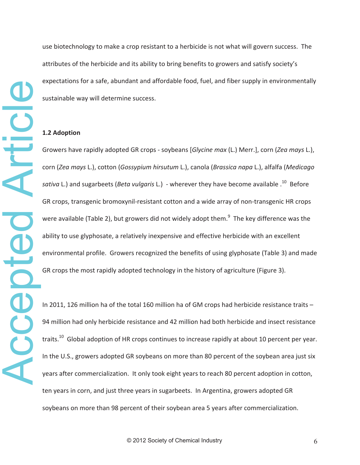use biotechnology to make a crop resistant to a herbicide is not what will govern success. The attributes of the herbicide and its ability to bring benefits to growers and satisfy society's expectations for a safe, abundant and affordable food, fuel, and fiber supply in environmentally sustainable way will determine success.

# **1.2 Adoption**

Growers have rapidly adopted GR crops - soybeans [*Glycine max* (L.) Merr.], corn (*Zea mays* L.), corn (*Zea mays* L.), cotton (*Gossypium hirsutum* L.), canola (*Brassica napa* L.), alfalfa (*Medicago sativa* L.) and sugarbeets (*Beta vulgaris* L.) - wherever they have become available .<sup>10</sup> Before GR crops, transgenic bromoxynil-resistant cotton and a wide array of non-transgenic HR crops were available (Table 2), but growers did not widely adopt them. $^{9}$  The key difference was the ability to use glyphosate, a relatively inexpensive and effective herbicide with an excellent environmental profile. Growers recognized the benefits of using glyphosate (Table 3) and made GR crops the most rapidly adopted technology in the history of agriculture (Figure 3).

In 2011, 126 million ha of the total 160 million ha of GM crops had herbicide resistance traits – 94 million had only herbicide resistance and 42 million had both herbicide and insect resistance traits.<sup>10</sup> Global adoption of HR crops continues to increase rapidly at about 10 percent per year. In the U.S., growers adopted GR soybeans on more than 80 percent of the soybean area just six years after commercialization. It only took eight years to reach 80 percent adoption in cotton, ten years in corn, and just three years in sugarbeets. In Argentina, growers adopted GR soybeans on more than 98 percent of their soybean area 5 years after commercialization.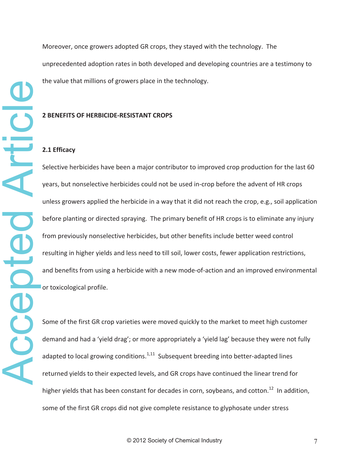Moreover, once growers adopted GR crops, they stayed with the technology. The unprecedented adoption rates in both developed and developing countries are a testimony to the value that millions of growers place in the technology.

### **2 BENEFITS OF HERBICIDEͲRESISTANT CROPS**

### **2.1 Efficacy**

Accepted Article Accepted Article

Selective herbicides have been a major contributor to improved crop production for the last 60 years, but nonselective herbicides could not be used in-crop before the advent of HR crops unless growers applied the herbicide in a way that it did not reach the crop, e.g., soil application before planting or directed spraying. The primary benefit of HR crops is to eliminate any injury from previously nonselective herbicides, but other benefits include better weed control resulting in higher yields and less need to till soil, lower costs, fewer application restrictions, and benefits from using a herbicide with a new mode-of-action and an improved environmental or toxicological profile.

Some of the first GR crop varieties were moved quickly to the market to meet high customer demand and had a 'yield drag'; or more appropriately a 'yield lag' because they were not fully adapted to local growing conditions. $1,11$  Subsequent breeding into better-adapted lines returned yields to their expected levels, and GR crops have continued the linear trend for higher yields that has been constant for decades in corn, soybeans, and cotton.<sup>12</sup> In addition, some of the first GR crops did not give complete resistance to glyphosate under stress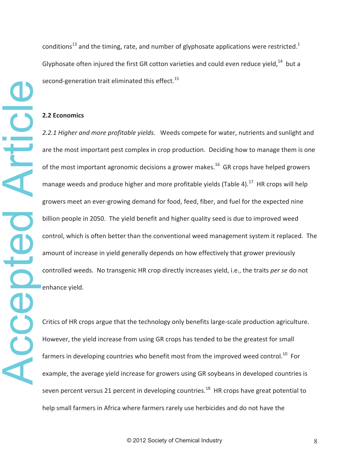conditions<sup>13</sup> and the timing, rate, and number of glyphosate applications were restricted.<sup>1</sup> Glyphosate often injured the first GR cotton varieties and could even reduce yield, $^{14}$  but a second-generation trait eliminated this effect.<sup>15</sup>

### **2.2 Economics**

Accepted Article Accepted Article

*2.2.1 Higher and more profitable yields.*Weeds compete for water, nutrients and sunlight and are the most important pest complex in crop production. Deciding how to manage them is one of the most important agronomic decisions a grower makes.<sup>16</sup> GR crops have helped growers manage weeds and produce higher and more profitable yields (Table 4). $^{17}$  HR crops will help growers meet an ever-growing demand for food, feed, fiber, and fuel for the expected nine billion people in 2050. The yield benefit and higher quality seed is due to improved weed control, which is often better than the conventional weed management system it replaced. The amount of increase in yield generally depends on how effectively that grower previously controlled weeds. No transgenic HR crop directly increases yield, i.e., the traits *per se* do not enhance yield.

Critics of HR crops argue that the technology only benefits large-scale production agriculture. However, the yield increase from using GR crops has tended to be the greatest for small farmers in developing countries who benefit most from the improved weed control.<sup>10</sup> For example, the average yield increase for growers using GR soybeans in developed countries is seven percent versus 21 percent in developing countries.<sup>18</sup> HR crops have great potential to help small farmers in Africa where farmers rarely use herbicides and do not have the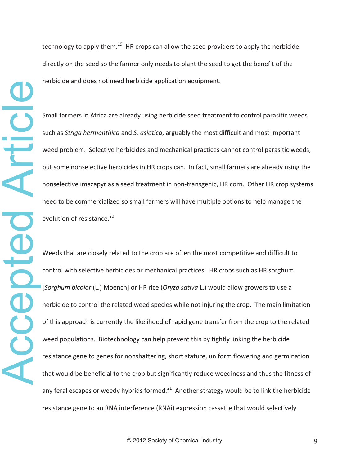Small farmers in Africa are already using herbicide seed treatment to control parasitic weeds such as *Striga hermonthica* and *S. asiatica*, arguably the most difficult and most important weed problem. Selective herbicides and mechanical practices cannot control parasitic weeds, but some nonselective herbicides in HR crops can. In fact, small farmers are already using the nonselective imazapyr as a seed treatment in non-transgenic, HR corn. Other HR crop systems need to be commercialized so small farmers will have multiple options to help manage the evolution of resistance.<sup>20</sup>

Weeds that are closely related to the crop are often the most competitive and difficult to control with selective herbicides or mechanical practices. HR crops such as HR sorghum [*Sorghum bicolor* (L.) Moench] or HR rice (*Oryza sativa* L.) would allow growers to use a herbicide to control the related weed species while not injuring the crop. The main limitation of this approach is currently the likelihood of rapid gene transfer from the crop to the related weed populations. Biotechnology can help prevent this by tightly linking the herbicide resistance gene to genes for nonshattering, short stature, uniform flowering and germination that would be beneficial to the crop but significantly reduce weediness and thus the fitness of any feral escapes or weedy hybrids formed.<sup>21</sup> Another strategy would be to link the herbicide resistance gene to an RNA interference (RNAi) expression cassette that would selectively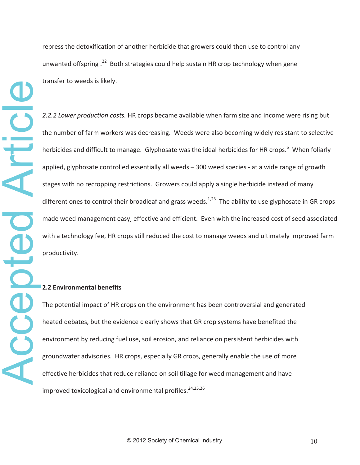repress the detoxification of another herbicide that growers could then use to control any unwanted offspring .<sup>22</sup> Both strategies could help sustain HR crop technology when gene transfer to weeds is likely.

*2.2.2 Lower production costs.* HR crops became available when farm size and income were rising but the number of farm workers was decreasing. Weeds were also becoming widely resistant to selective herbicides and difficult to manage. Glyphosate was the ideal herbicides for HR crops.<sup>5</sup> When foliarly applied, glyphosate controlled essentially all weeds – 300 weed species - at a wide range of growth stages with no recropping restrictions. Growers could apply a single herbicide instead of many different ones to control their broadleaf and grass weeds.<sup>1,23</sup> The ability to use glyphosate in GR crops made weed management easy, effective and efficient. Even with the increased cost of seed associated with a technology fee, HR crops still reduced the cost to manage weeds and ultimately improved farm productivity.

## **2.2 Environmental benefits**

The potential impact of HR crops on the environment has been controversial and generated heated debates, but the evidence clearly shows that GR crop systems have benefited the environment by reducing fuel use, soil erosion, and reliance on persistent herbicides with groundwater advisories.HR crops, especially GR crops, generally enable the use of more effective herbicides that reduce reliance on soil tillage for weed management and have improved toxicological and environmental profiles.  $24,25,26$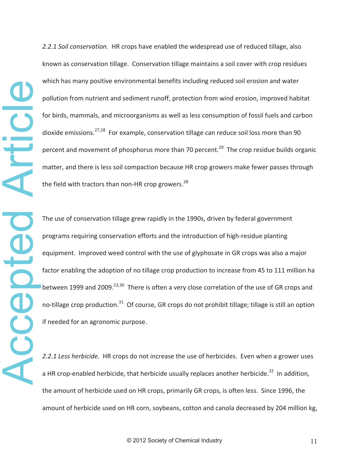Accepted Article Article **POCEOCE** 

*2.2.1 Soil conservation.*HR crops have enabled the widespread use of reduced tillage, also known as conservation tillage. Conservation tillage maintains a soil cover with crop residues which has many positive environmental benefits including reduced soil erosion and water pollution from nutrient and sediment runoff, protection from wind erosion, improved habitat for birds, mammals, and microorganisms as well as less consumption of fossil fuels and carbon dioxide emissions.<sup>27,28</sup> For example, conservation tillage can reduce soil loss more than 90 percent and movement of phosphorus more than 70 percent.<sup>29</sup> The crop residue builds organic matter, and there is less soil compaction because HR crop growers make fewer passes through the field with tractors than non-HR crop growers.<sup>28</sup>

The use of conservation tillage grew rapidly in the 1990s, driven by federal government programs requiring conservation efforts and the introduction of high-residue planting equipment. Improved weed control with the use of glyphosate in GR crops was also a major factor enabling the adoption of no tillage crop production to increase from 45 to 111 million ha between 1999 and 2009.<sup>23,30</sup> There is often a very close correlation of the use of GR crops and no-tillage crop production.<sup>31</sup> Of course, GR crops do not prohibit tillage; tillage is still an option if needed for an agronomic purpose.

2.2.1 Less *herbicide*. HR crops do not increase the use of herbicides. Even when a grower uses a HR crop-enabled herbicide, that herbicide usually replaces another herbicide.<sup>32</sup> In addition. the amount of herbicide used on HR crops, primarily GR crops, is often less. Since 1996, the amount of herbicide used on HR corn, soybeans, cotton and canola decreased by 204 million kg,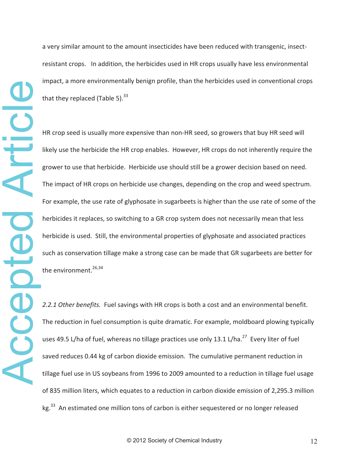a very similar amount to the amount insecticides have been reduced with transgenic, insectresistant crops. In addition, the herbicides used in HR crops usually have less environmental impact, a more environmentally benign profile, than the herbicides used in conventional crops that they replaced (Table 5).  $33$ 

HR crop seed is usually more expensive than non-HR seed, so growers that buy HR seed will likely use the herbicide the HR crop enables. However, HR crops do not inherently require the grower to use that herbicide. Herbicide use should still be a grower decision based on need. The impact of HR crops on herbicide use changes, depending on the crop and weed spectrum. For example, the use rate of glyphosate in sugarbeets is higher than the use rate of some of the herbicides it replaces, so switching to a GR crop system does not necessarily mean that less herbicide is used. Still, the environmental properties of glyphosate and associated practices such as conservation tillage make a strong case can be made that GR sugarbeets are better for the environment. $^{26,34}$ 

2.2.1 Other benefits. Fuel savings with HR crops is both a cost and an environmental benefit. The reduction in fuel consumption is quite dramatic. For example, moldboard plowing typically uses 49.5 L/ha of fuel, whereas no tillage practices use only 13.1 L/ha. $^{27}$  Every liter of fuel saved reduces 0.44 kg of carbon dioxide emission. The cumulative permanent reduction in tillage fuel use in US soybeans from 1996 to 2009 amounted to a reduction in tillage fuel usage of 835 million liters, which equates to a reduction in carbon dioxide emission of 2,295.3 million kg.<sup>33</sup> An estimated one million tons of carbon is either sequestered or no longer released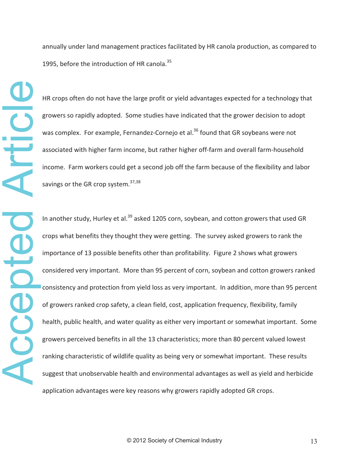annually under land management practices facilitated by HR canola production, as compared to 1995, before the introduction of HR canola.<sup>35</sup>

HR crops often do not have the large profit or yield advantages expected for a technology that growers so rapidly adopted. Some studies have indicated that the grower decision to adopt was complex. For example, Fernandez-Cornejo et al.<sup>36</sup> found that GR soybeans were not associated with higher farm income, but rather higher off-farm and overall farm-household income. Farm workers could get a second job off the farm because of the flexibility and labor savings or the GR crop system. $37,38$ 

In another study, Hurley et al. $39$  asked 1205 corn, soybean, and cotton growers that used GR crops what benefits they thought they were getting. The survey asked growers to rank the importance of 13 possible benefits other than profitability. Figure 2 shows what growers considered very important. More than 95 percent of corn, soybean and cotton growers ranked consistency and protection from yield loss as very important. In addition, more than 95 percent of growers ranked crop safety, a clean field, cost, application frequency, flexibility, family health, public health, and water quality as either very important or somewhat important. Some growers perceived benefits in all the 13 characteristics; more than 80 percent valued lowest ranking characteristic of wildlife quality as being very or somewhat important. These results In another study, Hurley et al.<sup>39</sup> asked 1205 corn, soybean, and cotton growers that used GR<br>crops what benefits they thought they were getting. The survey asked growers to rank the<br>importance of 13 possible benefits othe application advantages were key reasons why growers rapidly adopted GR crops.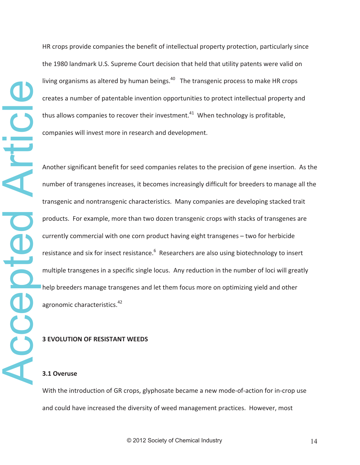HR crops provide companies the benefit of intellectual property protection, particularly since the 1980 landmark U.S. Supreme Court decision that held that utility patents were valid on living organisms as altered by human beings. $40$  The transgenic process to make HR crops creates a number of patentable invention opportunities to protect intellectual property and thus allows companies to recover their investment.<sup>41</sup> When technology is profitable, companies will invest more in research and development.

Another significant benefit for seed companies relates to the precision of gene insertion. As the number of transgenes increases, it becomes increasingly difficult for breeders to manage all the transgenic and nontransgenic characteristics.Many companies are developing stacked trait products.For example, more than two dozen transgenic crops with stacks of transgenes are currently commercial with one corn product having eight transgenes – two for herbicide resistance and six for insect resistance.<sup>6</sup> Researchers are also using biotechnology to insert multiple transgenes in a specific single locus. Any reduction in the number of loci will greatly help breeders manage transgenes and let them focus more on optimizing yield and other agronomic characteristics.<sup>42</sup>

### **3 EVOLUTION OF RESISTANT WEEDS**

### **3.1 Overuse**

With the introduction of GR crops, glyphosate became a new mode-of-action for in-crop use and could have increased the diversity of weed management practices. However, most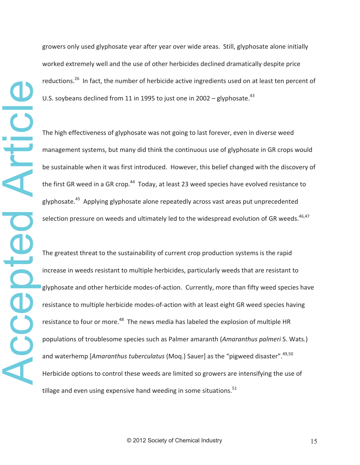growers only used glyphosate year after year over wide areas. Still, glyphosate alone initially worked extremely well and the use of other herbicides declined dramatically despite price reductions.<sup>26</sup> In fact, the number of herbicide active ingredients used on at least ten percent of U.S. soybeans declined from 11 in 1995 to just one in 2002 – glyphosate.<sup>43</sup>

The high effectiveness of glyphosate was not going to last forever, even in diverse weed management systems, but many did think the continuous use of glyphosate in GR crops would be sustainable when it was first introduced. However, this belief changed with the discovery of the first GR weed in a GR crop.<sup>44</sup> Today, at least 23 weed species have evolved resistance to glyphosate.<sup>45</sup> Applying glyphosate alone repeatedly across vast areas put unprecedented selection pressure on weeds and ultimately led to the widespread evolution of GR weeds.<sup>46,47</sup>

The greatest threat to the sustainability of current crop production systems is the rapid increase in weeds resistant to multiple herbicides, particularly weeds that are resistant to glyphosate and other herbicide modes-of-action. Currently, more than fifty weed species have resistance to multiple herbicide modes-of-action with at least eight GR weed species having resistance to four or more.<sup>48</sup> The news media has labeled the explosion of multiple HR populations of troublesome species such as Palmer amaranth (*Amaranthus palmeri* S. Wats.) and waterhemp [*Amaranthus tuberculatus* (Mog.) Sauer] as the "pigweed disaster".<sup>49,50</sup> Herbicide options to control these weeds are limited so growers are intensifying the use of tillage and even using expensive hand weeding in some situations.<sup>51</sup>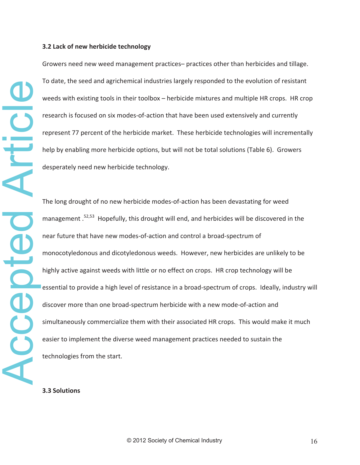### **3.2 Lack of new herbicide technology**

Growers need new weed management practices– practices other than herbicides and tillage. To date, the seed and agrichemical industries largely responded to the evolution of resistant weeds with existing tools in their toolbox – herbicide mixtures and multiple HR crops. HR crop research is focused on six modes-of-action that have been used extensively and currently represent 77 percent of the herbicide market. These herbicide technologies will incrementally help by enabling more herbicide options, but will not be total solutions (Table 6). Growers desperately need new herbicide technology.

The long drought of no new herbicide modes-of-action has been devastating for weed management .<sup>52,53</sup> Hopefully, this drought will end, and herbicides will be discovered in the near future that have new modes-of-action and control a broad-spectrum of monocotyledonous and dicotyledonous weeds. However, new herbicides are unlikely to be highly active against weeds with little or no effect on crops. HR crop technology will be essential to provide a high level of resistance in a broad-spectrum of crops. Ideally, industry will discover more than one broad-spectrum herbicide with a new mode-of-action and simultaneously commercialize them with their associated HR crops. This would make it much easier to implement the diverse weed management practices needed to sustain the weeds with existing tools in<br>research is focused on six me<br>represent 77 percent of the<br>help by enabling more herbit<br>desperately need new herbit<br>desperately need new herbit<br>The long drought of no new<br>management 52,53 Hopefu

### **3.3 Solutions**

ccepted Article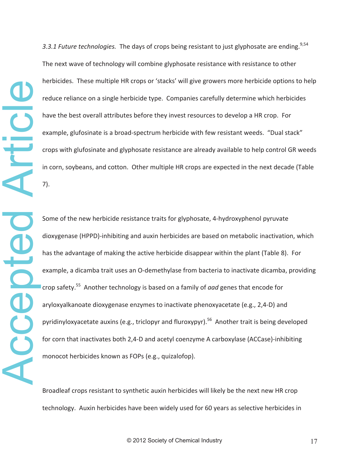Accepted Article Article Acepted

3.3.1 Future *technologies*. The days of crops being resistant to just glyphosate are ending.<sup>9,54</sup> The next wave of technology will combine glyphosate resistance with resistance to other herbicides. These multiple HR crops or 'stacks' will give growers more herbicide options to help reduce reliance on a single herbicide type. Companies carefully determine which herbicides have the best overall attributes before they invest resources to develop a HR crop. For example, glufosinate is a broad-spectrum herbicide with few resistant weeds. "Dual stack" crops with glufosinate and glyphosate resistance are already available to help control GR weeds in corn, soybeans, and cotton. Other multiple HR crops are expected in the next decade (Table 7).

Some of the new herbicide resistance traits for glyphosate, 4-hydroxyphenol pyruvate dioxygenase (HPPD)-inhibiting and auxin herbicides are based on metabolic inactivation, which has the advantage of making the active herbicide disappear within the plant (Table 8). For example, a dicamba trait uses an O-demethylase from bacteria to inactivate dicamba, providing crop safety.<sup>55</sup> Another technology is based on a family of *aad* genes that encode for aryloxyalkanoate dioxygenase enzymes to inactivate phenoxyacetate (e.g., 2,4-D) and pyridinyloxyacetate auxins (e.g., triclopyr and fluroxypyr).<sup>56</sup> Another trait is being developed for corn that inactivates both 2,4-D and acetyl coenzyme A carboxylase (ACCase)-inhibiting monocot herbicides known as FOPs (e.g., quizalofop).

Broadleaf crops resistant to synthetic auxin herbicides will likely be the next new HR crop technology.Auxin herbicides have been widely used for 60 years as selective herbicides in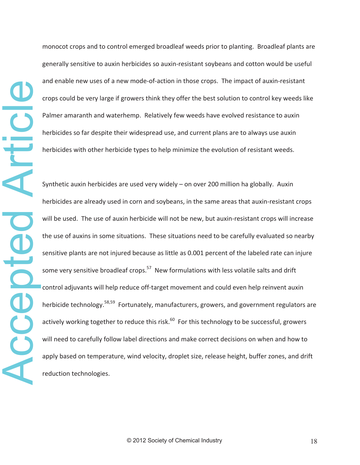monocot crops and to control emerged broadleaf weeds prior to planting. Broadleaf plants are generally sensitive to auxin herbicides so auxin-resistant soybeans and cotton would be useful and enable new uses of a new mode-of-action in those crops. The impact of auxin-resistant crops could be very large if growers think they offer the best solution to control key weeds like Palmer amaranth and waterhemp. Relatively few weeds have evolved resistance to auxin herbicides so far despite their widespread use, and current plans are to always use auxin herbicides with other herbicide types to help minimize the evolution of resistant weeds.

Synthetic auxin herbicides are used very widely  $-$  on over 200 million ha globally. Auxin herbicides are already used in corn and soybeans, in the same areas that auxin-resistant crops will be used. The use of auxin herbicide will not be new, but auxin-resistant crops will increase the use of auxins in some situations. These situations need to be carefully evaluated so nearby sensitive plants are not injured because as little as 0.001 percent of the labeled rate can injure some very sensitive broadleaf crops. $57$  New formulations with less volatile salts and drift control adjuvants will help reduce off-target movement and could even help reinvent auxin herbicide technology.<sup>58,59</sup> Fortunately, manufacturers, growers, and government regulators are actively working together to reduce this risk.<sup>60</sup> For this technology to be successful, growers will need to carefully follow label directions and make correct decisions on when and how to apply based on temperature, wind velocity, droplet size, release height, buffer zones, and drift reduction technologies.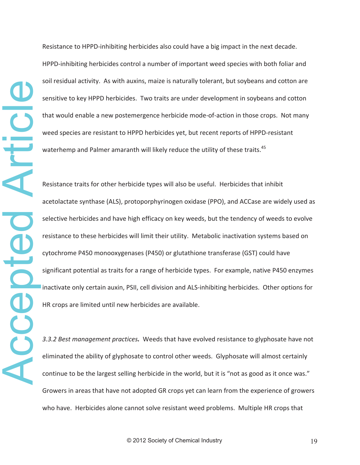Resistance to HPPD-inhibiting herbicides also could have a big impact in the next decade. HPPD-inhibiting herbicides control a number of important weed species with both foliar and soil residual activity. As with auxins, maize is naturally tolerant, but soybeans and cotton are sensitive to key HPPD herbicides. Two traits are under development in soybeans and cotton that would enable a new postemergence herbicide mode-of-action in those crops. Not many weed species are resistant to HPPD herbicides yet, but recent reports of HPPD-resistant waterhemp and Palmer amaranth will likely reduce the utility of these traits.<sup>45</sup>

Resistance traits for other herbicide types will also be useful. Herbicides that inhibit acetolactate synthase (ALS), protoporphyrinogen oxidase (PPO), and ACCase are widely used as selective herbicides and have high efficacy on key weeds, but the tendency of weeds to evolve resistance to these herbicides will limit their utility. Metabolic inactivation systems based on cytochrome P450 monooxygenases (P450) or glutathione transferase (GST) could have significant potential as traits for a range of herbicide types. For example, native P450 enzymes inactivate only certain auxin, PSII, cell division and ALS-inhibiting herbicides. Other options for HR crops are limited until new herbicides are available.

*3.3.2 Best management practices.*Weeds that have evolved resistance to glyphosate have not eliminated the ability of glyphosate to control other weeds. Glyphosate will almost certainly continue to be the largest selling herbicide in the world, but it is "not as good as it once was." Growers in areas that have not adopted GR crops yet can learn from the experience of growers who have. Herbicides alone cannot solve resistant weed problems. Multiple HR crops that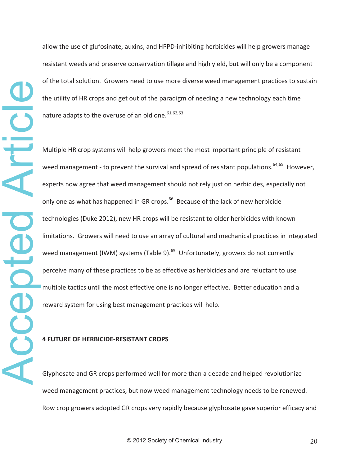allow the use of glufosinate, auxins, and HPPD-inhibiting herbicides will help growers manage resistant weeds and preserve conservation tillage and high yield, but will only be a component of the total solution. Growers need to use more diverse weed management practices to sustain the utility of HR crops and get out of the paradigm of needing a new technology each time nature adapts to the overuse of an old one.  $61,62,63$ 

Multiple HR crop systems will help growers meet the most important principle of resistant weed management - to prevent the survival and spread of resistant populations.<sup>64,65</sup> However, experts now agree that weed management should not rely just on herbicides, especially not only one as what has happened in GR crops.<sup>66</sup> Because of the lack of new herbicide technologies (Duke 2012), new HR crops will be resistant to older herbicides with known limitations. Growers will need to use an array of cultural and mechanical practices in integrated weed management (IWM) systems (Table 9). $^{65}$  Unfortunately, growers do not currently perceive many of these practices to be as effective as herbicides and are reluctant to use multiple tactics until the most effective one is no longer effective. Better education and a reward system for using best management practices will help.

### **4 FUTURE OF HERBICIDEͲRESISTANT CROPS**

Glyphosate and GR crops performed well for more than a decade and helped revolutionize weed management practices, but now weed management technology needs to be renewed. Row crop growers adopted GR crops very rapidly because glyphosate gave superior efficacy and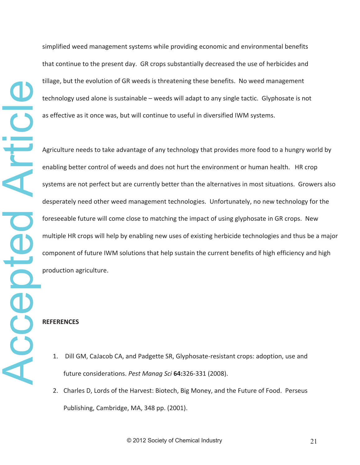simplified weed management systems while providing economic and environmental benefits that continue to the present day. GR crops substantially decreased the use of herbicides and tillage, but the evolution of GR weeds is threatening these benefits. No weed management technology used alone is sustainable – weeds will adapt to any single tactic. Glyphosate is not as effective as it once was, but will continue to useful in diversified IWM systems.

Agriculture needs to take advantage of any technology that provides more food to a hungry world by enabling better control of weeds and does not hurt the environment or human health. HR crop systems are not perfect but are currently better than the alternatives in most situations. Growers also desperately need other weed management technologies.Unfortunately, no new technology for the foreseeable future will come close to matching the impact of using glyphosate in GR crops. New multiple HR crops will help by enabling new uses of existing herbicide technologies and thus be a major component of future IWM solutions that help sustain the current benefits of high efficiency and high production agriculture.

# **REFERENCES**

- 1. Dill GM, CaJacob CA, and Padgette SR, Glyphosate-resistant crops: adoption, use and future considerations. Pest Manag Sci 64:326-331 (2008).
- 2. Charles D, Lords of the Harvest: Biotech, Big Money, and the Future of Food. Perseus Publishing, Cambridge, MA, 348 pp. (2001).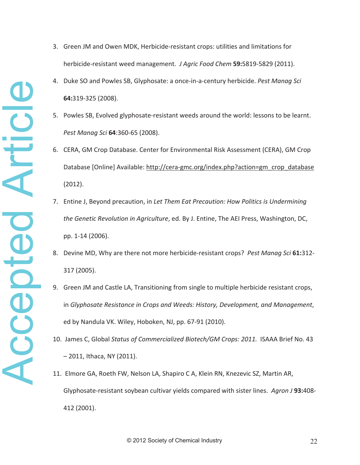- 3. Green JM and Owen MDK, Herbicide-resistant crops: utilities and limitations for herbicide-resistant weed management. *J Agric Food Chem* 59:5819-5829 (2011).
- 4. Duke SO and Powles SB, Glyphosate: a onceͲinͲaͲcentury herbicide. *Pest Manag Sci*  $64:319-325$  (2008).
- 5. Powles SB, Evolved glyphosate-resistant weeds around the world: lessons to be learnt. *Pest Manag Sci* **64**:360Ͳ65 (2008).
- 6. CERA, GM Crop Database. Center for Environmental Risk Assessment (CERA), GM Crop Database [Online] Available: http://cera-gmc.org/index.php?action=gm\_crop\_database (2012).
- 7. Entine J, Beyond precaution, in *Let Them Eat Precaution: How Politics is Undermining the Genetic Revolution in Agriculture*, ed. By J. Entine, The AEI Press, Washington, DC, pp. 1-14 (2006).
- 8. Devine MD, Why are there not more herbicide-resistant crops? Pest Manag Sci 61:312-317 (2005).
- 9. Green JM and Castle LA, Transitioning from single to multiple herbicide resistant crops, in *Glyphosate Resistance in Crops and Weeds: History, Development, and Management*, ed by Nandula VK. Wiley, Hoboken, NJ, pp. 67-91 (2010).
- 10. James C, Global *Status of Commercialized Biotech/GM Crops: 2011.*ISAAA Brief No. 43 – 2011, Ithaca, NY (2011).
- 11. Elmore GA, Roeth FW, Nelson LA, Shapiro C A, Klein RN, Knezevic SZ, Martin AR, Glyphosate-resistant soybean cultivar yields compared with sister lines. Agron *J* 93:408-412 (2001).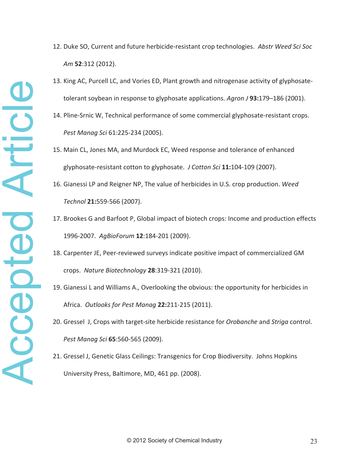- 12. Duke SO, Current and future herbicide-resistant crop technologies. Abstr Weed Sci Soc *Am* **52**:312 (2012).
- 13. King AC, Purcell LC, and Vories ED, Plant growth and nitrogenase activity of glyphosatetolerant soybean in response to glyphosate applications. *Agron J* **93:**179–186 (2001).
- 14. Pline-Srnic W, Technical performance of some commercial glyphosate-resistant crops. *Pest Manag Sci* 61:225-234 (2005).
- 15. Main CL, Jones MA, and Murdock EC, Weed response and tolerance of enhanced glyphosate-resistant cotton to glyphosate. *J Cotton Sci* 11:104-109 (2007).
- 16. Gianessi LP and Reigner NP, The value of herbicides in U.S. crop production. *Weed Technol* **21:**559Ͳ566 (2007).
- 17. Brookes G and Barfoot P, Global impact of biotech crops: Income and production effects 1996-2007. AgBioForum **12**:184-201 (2009).
- 18. Carpenter JE, Peer-reviewed surveys indicate positive impact of commercialized GM crops. *Nature Biotechnology* 28:319-321 (2010).
- 19. Gianessi L and Williams A., Overlooking the obvious: the opportunity for herbicides in Africa. Outlooks for Pest Manag 22:211-215 (2011).
- 20. Gressel J, Crops with target-site herbicide resistance for *Orobanche* and *Striga* control. *Pest Manag Sci* 65:560-565 (2009).
- University Press, Baltimore, MD, 461 pp. (2008).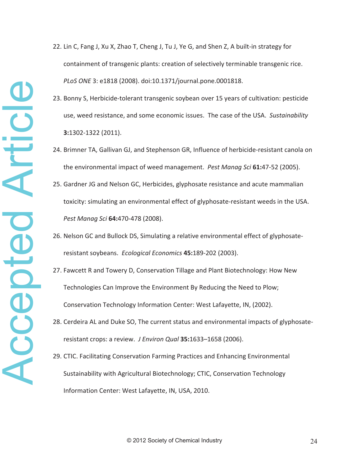- 22. Lin C, Fang J, Xu X, Zhao T, Cheng J, Tu J, Ye G, and Shen Z, A built-in strategy for containment of transgenic plants: creation of selectively terminable transgenic rice. *PLoS ONE* 3: e1818 (2008). doi:10.1371/journal.pone.0001818.
- 23. Bonny S, Herbicide-tolerant transgenic soybean over 15 years of cultivation: pesticide use, weed resistance, and some economic issues.The case of the USA.*Sustainability* **3:**1302-1322 (2011).
- 24. Brimner TA, Gallivan GJ, and Stephenson GR, Influence of herbicide-resistant canola on the environmental impact of weed management. Pest Manag Sci 61:47-52 (2005).
- 25. Gardner JG and Nelson GC, Herbicides, glyphosate resistance and acute mammalian toxicity: simulating an environmental effect of glyphosate-resistant weeds in the USA. *Pest Manag Sci* 64:470-478 (2008).
- 26. Nelson GC and Bullock DS, Simulating a relative environmental effect of glyphosateresistant soybeans. *Ecological Economics* 45:189-202 (2003).
- 27. Fawcett R and Towery D, Conservation Tillage and Plant Biotechnology: How New Technologies Can Improve the Environment By Reducing the Need to Plow; Conservation Technology Information Center: West Lafayette, IN, (2002).
- 28. Cerdeira AL and Duke SO, The current status and environmental impacts of glyphosateresistant crops: a review.*J Environ Qual* **35:**1633–1658 (2006).
- 29. CTIC. Facilitating Conservation Farming Practices and Enhancing Environmental Information Center: West Lafayette, IN, USA, 2010.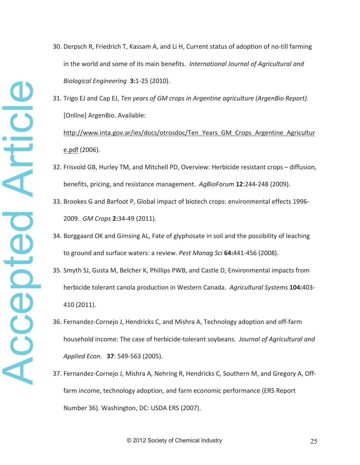- 30. Derpsch R, Friedrich T, Kassam A, and Li H, Current status of adoption of no-till farming in the world and some of its main benefits.*International Journal of Agricultural and Biological Engineering* 3:1-25 (2010).
- 31. Trigo EJ and Cap EJ, *Ten years of GM crops in Argentine agriculture (ArgenBio Report)*. [Online] ArgenBio. Available: http://www.inta.gov.ar/ies/docs/otrosdoc/Ten\_Years\_GM\_Crops\_Argentine\_Agricultur e.pdf (2006).
- 32. Frisvold GB, Hurley TM, and Mitchell PD, Overview: Herbicide resistant crops diffusion, benefits, pricing, and resistance management. AgBioForum 12:244-248 (2009).
- 33. Brookes G and Barfoot P, Global impact of biotech crops: environmental effects 1996-**2009.** *GM Crops* **<b>2:**34-49 (2011).
- 34. Borggaard OK and Gimsing AL, Fate of glyphosate in soil and the possibility of leaching to ground and surface waters: a review. Pest Manag Sci 64:441-456 (2008).
- 35. Smyth SJ, Gusta M, Belcher K, Phillips PWB, and Castle D, Environmental impacts from herbicide tolerant canola production in Western Canada. Agricultural Systems 104:403-410 (2011).
- 36. Fernandez-Cornejo J, Hendricks C, and Mishra A, Technology adoption and off-farm household income: The case of herbicide-tolerant soybeans. Journal of Agricultural and *Applied Econ.* **37**: 549-563 (2005).
- 37. Fernandez-Cornejo J, Mishra A, Nehring R, Hendricks C, Southern M, and Gregory A, Offfarm income, technology adoption, and farm economic performance (ERS Report Number 36). Washington, DC: USDA ERS (2007).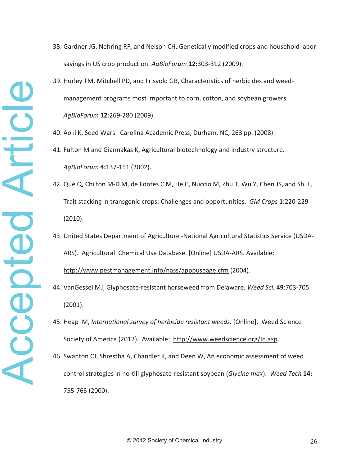- 38. Gardner JG, Nehring RF, and Nelson CH, Genetically modified crops and household labor savings in US crop production. *AgBioForum* 12:303-312 (2009).
- 39. Hurley TM, Mitchell PD, and Frisvold GB, Characteristics of herbicides and weedmanagement programs most important to corn, cotton, and soybean growers. *AgBioForum* **12**:269-280 (2009).
- 40. Aoki K, Seed Wars. Carolina Academic Press, Durham, NC, 263 pp. (2008).
- 41. Fulton M and Giannakas K, Agricultural biotechnology and industry structure. *AgBioForum* 4:137-151 (2002).
- 42. Que Q, Chilton M-D M, de Fontes C M, He C, Nuccio M, Zhu T, Wu Y, Chen JS, and Shi L, Trait stacking in transgenic crops: Challenges and opportunities. *GM Crops* 1:220-229 (2010).
- 43. United States Department of Agriculture -National Agricultural Statistics Service (USDA-ARS). Agricultural Chemical Use Database. [Online] USDA-ARS. Available: http://www.pestmanagement.info/nass/apppuseage.cfm (2004).
- 14. VanGessel MJ, Glyphosate-resistant horseweed from Delaware. Weed Sci. 49:703-705 (2001).
- 45. Heap IM, *International survey of herbicide resistant weeds.* [Online].Weed Science Society of America (2012). Available: http://www.weedscience.org/In.asp.
- 46. Swanton CJ, Shrestha A, Chandler K, and Deen W, An economic assessment of weed 755Ͳ763 (2000).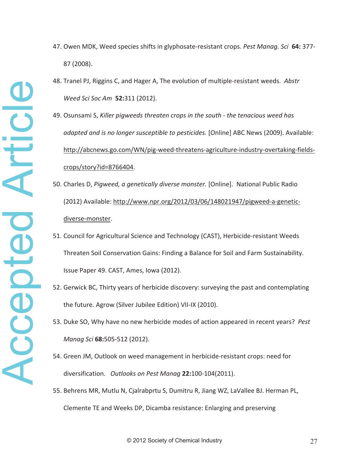- Accepted Article Accepted Article
- 47. Owen MDK, Weed species shifts in glyphosate-resistant crops. Pest Manag. Sci 64: 377-87 (2008).
- 48. Tranel PJ, Riggins C, and Hager A, The evolution of multiple-resistant weeds. Abstr *Weed Sci Soc Am* **52:**311 (2012).
- 49. Osunsami S, *Killer pigweeds threaten crops in the southͲthe tenacious weed has adapted and is no longer susceptible to pesticides.* [Online] ABC News (2009). Available: http://abcnews.go.com/WN/pig-weed-threatens-agriculture-industry-overtaking-fieldscrops/story?id=8766404.
- 50. Charles D, *Pigweed, a genetically diverse monster.* [Online].National Public Radio (2012) Available: http://www.npr.org/2012/03/06/148021947/pigweed-a-geneticdiverse-monster.
- 51. Council for Agricultural Science and Technology (CAST), Herbicide-resistant Weeds Threaten Soil Conservation Gains: Finding a Balance for Soil and Farm Sustainability. Issue Paper 49. CAST, Ames, Iowa (2012).
- 52. Gerwick BC, Thirty years of herbicide discovery: surveying the past and contemplating the future. Agrow (Silver Jubilee Edition) VII-IX (2010).
- 53. Duke SO, Why have no new herbicide modes of action appeared in recent years?*Pest Manag Sci* 68:505-512 (2012).
- 54. Green JM, Outlook on weed management in herbicide-resistant crops: need for diversification. Outlooks on Pest Manag 22:100-104(2011).
- 55. Behrens MR, Mutlu N, Cjalrabprtu S, Dumitru R, Jiang WZ, LaVallee BJ. Herman PL, Clemente TE and Weeks DP, Dicamba resistance: Enlarging and preserving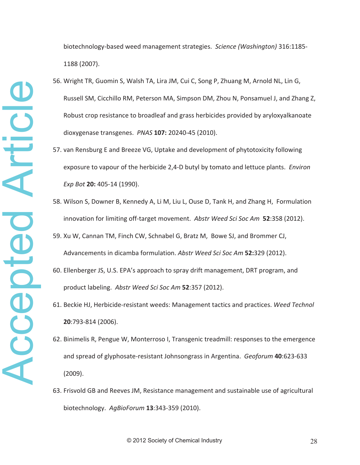- 56. Wright TR, Guomin S, Walsh TA, Lira JM, Cui C, Song P, Zhuang M, Arnold NL, Lin G, Russell SM, Cicchillo RM, Peterson MA, Simpson DM, Zhou N, Ponsamuel J, and Zhang Z, Robust crop resistance to broadleaf and grass herbicides provided by aryloxyalkanoate dioxygenase transgenes. PNAS 107: 20240-45 (2010).
- 57. van Rensburg E and Breeze VG, Uptake and development of phytotoxicity following exposure to vapour of the herbicide 2,4-D butyl by tomato and lettuce plants. *Environ Exp Bot* **20:** 405-14 (1990).
- 58. Wilson S, Downer B, Kennedy A, Li M, Liu L, Ouse D, Tank H, and Zhang H, Formulation innovation for limiting off-target movement. Abstr Weed Sci Soc Am 52:358 (2012).
- 59. Xu W, Cannan TM, Finch CW, Schnabel G, Bratz M, Bowe SJ, and Brommer CJ, Advancements in dicamba formulation. *Abstr Weed Sci Soc Am* **52:**329 (2012).
- 60. Ellenberger JS, U.S. EPA's approach to spray drift management, DRT program, and product labeling.*Abstr Weed Sci Soc Am* **52**:357 (2012).
- 61. Beckie HJ, Herbicide-resistant weeds: Management tactics and practices. Weed Technol **20**:793-814 (2006).
- 62. Binimelis R, Pengue W, Monterroso I, Transgenic treadmill: responses to the emergence and spread of glyphosate-resistant Johnsongrass in Argentina. Geoforum 40:623-633 (2009).
- 63. Frisvold GB and Reeves JM, Resistance management and sustainable use of agricultural biotechnology. AgBioForum 13:343-359 (2010).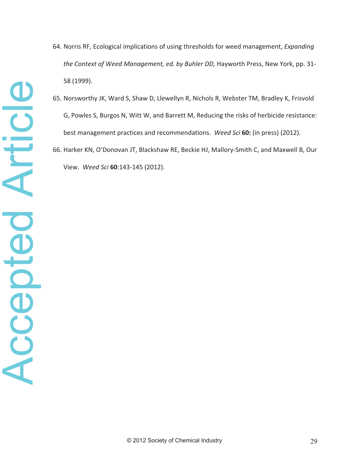- 64. Norris RF, Ecological implications of using thresholds for weed management, *Expanding the Context of Weed Management, ed. by Buhler DD, Hayworth Press, New York, pp.* 31-58 (1999).
- 65. Norsworthy JK, Ward S, Shaw D, Llewellyn R, Nichols R, Webster TM, Bradley K, Frisvold G, Powles S, Burgos N, Witt W, and Barrett M, Reducing the risks of herbicide resistance: best management practices and recommendations.*Weed Sci* **60:** (in press) (2012).
- 66. Harker KN, O'Donovan JT, Blackshaw RE, Beckie HJ, Mallory-Smith C, and Maxwell B, Our View. Weed Sci 60:143-145 (2012).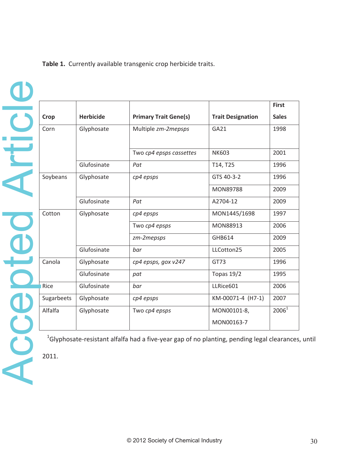**Table 1.**Currently available transgenic crop herbicide traits.

Accepted Article **Accepted Article** 

|            |                  |                              |                           | <b>First</b>      |
|------------|------------------|------------------------------|---------------------------|-------------------|
| Crop       | <b>Herbicide</b> | <b>Primary Trait Gene(s)</b> | <b>Trait Designation</b>  | <b>Sales</b>      |
| Corn       | Glyphosate       | Multiple zm-2mepsps          | GA21                      | 1998              |
|            |                  | Two cp4 epsps cassettes      | <b>NK603</b>              | 2001              |
|            | Glufosinate      | Pat                          | T14, T25                  | 1996              |
| Soybeans   | Glyphosate       | cp4 epsps                    | GTS 40-3-2                | 1996              |
|            |                  |                              | <b>MON89788</b>           | 2009              |
|            | Glufosinate      | Pat                          | A2704-12                  | 2009              |
| Cotton     | Glyphosate       | cp4 epsps                    | MON1445/1698              | 1997              |
|            |                  | Two cp4 epsps                | <b>MON88913</b>           | 2006              |
|            |                  | zm-2mepsps                   | GHB614                    | 2009              |
|            | Glufosinate      | bar                          | LLCotton25                | 2005              |
| Canola     | Glyphosate       | cp4 epsps, gox v247          | GT73                      | 1996              |
|            | Glufosinate      | pat                          | Topas 19/2                | 1995              |
| Rice       | Glufosinate      | bar                          | LLRice601                 | 2006              |
| Sugarbeets | Glyphosate       | cp4 epsps                    | KM-00071-4 (H7-1)         | 2007              |
| Alfalfa    | Glyphosate       | Two cp4 epsps                | MON00101-8,<br>MON00163-7 | 2006 <sup>1</sup> |

 $16$ lyphosate-resistant alfalfa had a five-year gap of no planting, pending legal clearances, until

2011.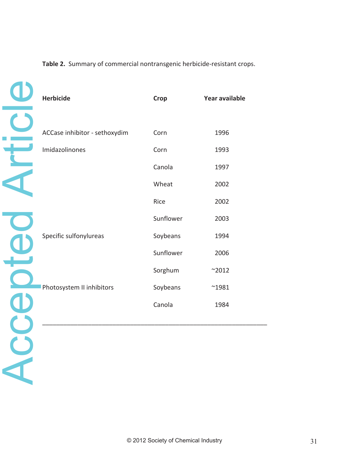# Table 2. Summary of commercial nontransgenic herbicide-resistant crops.

Accepted Article Accepted Article

| <b>Herbicide</b>              | <b>Crop</b> | Year available |
|-------------------------------|-------------|----------------|
|                               |             |                |
| ACCase inhibitor - sethoxydim | Corn        | 1996           |
| Imidazolinones                | Corn        | 1993           |
|                               | Canola      | 1997           |
|                               | Wheat       | 2002           |
|                               | Rice        | 2002           |
|                               | Sunflower   | 2003           |
| Specific sulfonylureas        | Soybeans    | 1994           |
|                               | Sunflower   | 2006           |
|                               | Sorghum     | $^{\sim}2012$  |
| Photosystem II inhibitors     | Soybeans    | $^{\sim}$ 1981 |
|                               | Canola      | 1984           |
|                               |             |                |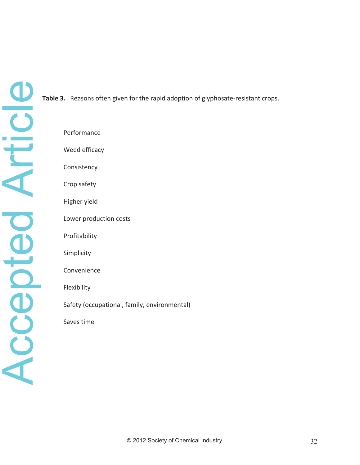**Table 3.** Reasons often given for the rapid adoption of glyphosate-resistant crops.

Performance Weed efficacy

Consistency

Crop safety

Higher yield

Lower production costs

Profitability

Simplicity

Convenience

Flexibility

Safety (occupational, family, environmental)

Saves time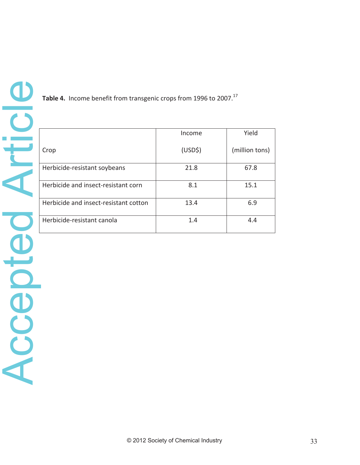**Table 4.** Income benefit from transgenic crops from 1996 to 2007.<sup>17</sup>

|                                       | Income              | Yield          |
|---------------------------------------|---------------------|----------------|
| Crop                                  | (USD <sup>2</sup> ) | (million tons) |
| Herbicide-resistant soybeans          | 21.8                | 67.8           |
| Herbicide and insect-resistant corn   | 8.1                 | 15.1           |
| Herbicide and insect-resistant cotton | 13.4                | 6.9            |
| Herbicide-resistant canola            | 1.4                 | 4.4            |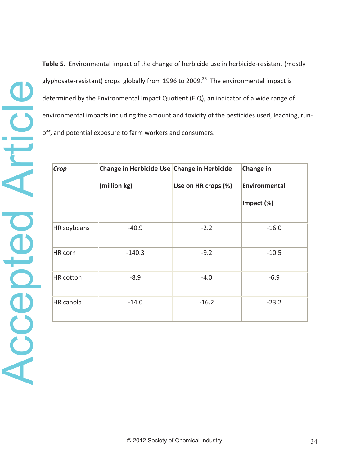**Table 5.** Environmental impact of the change of herbicide use in herbicide-resistant (mostly glyphosate-resistant) crops globally from 1996 to 2009.<sup>33</sup> The environmental impact is determined by the Environmental Impact Quotient (EIQ), an indicator of a wide range of environmental impacts including the amount and toxicity of the pesticides used, leaching, runoff, and potential exposure to farm workers and consumers.

| Crop        | Change in Herbicide Use Change in Herbicide |                     | <b>Change in</b> |
|-------------|---------------------------------------------|---------------------|------------------|
|             | (million kg)                                | Use on HR crops (%) | Environmental    |
|             |                                             |                     | Impact (%)       |
| HR soybeans | $-40.9$                                     | $-2.2$              | $-16.0$          |
| HR corn     | $-140.3$                                    | $-9.2$              | $-10.5$          |
| HR cotton   | $-8.9$                                      | $-4.0$              | $-6.9$           |
| HR canola   | $-14.0$                                     | $-16.2$             | $-23.2$          |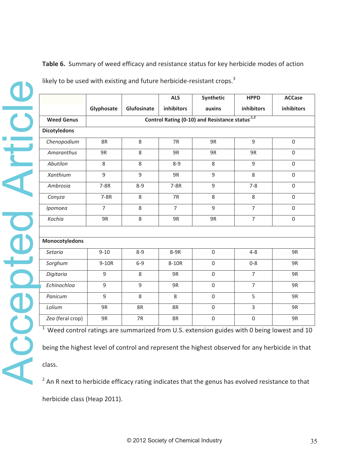# **Table 6.**Summary of weed efficacy and resistance status for key herbicide modes of action

| Glyphosate<br>Glufosinate<br>inhibitors<br>inhibitors<br>auxins<br>Control Rating (0-10) and Resistance status <sup>1,2</sup><br><b>Weed Genus</b><br><b>Dicotyledons</b><br>$\overline{9}$<br>Chenopodium<br>8<br>7R<br>8R<br>9R<br>Amaranthus<br>9R<br>9R<br>8<br>9R<br>9R<br>Abutilon<br>8<br>8<br>$8 - 9$<br>8<br>9<br>Xanthium<br>9<br>9<br>9<br>8<br>9R<br>9<br>Ambrosia<br>7-8R<br>7-8R<br>$7 - 8$<br>$8 - 9$<br>$7-8R$<br>7R<br>8<br>8<br>Conyza<br>$\,8\,$<br>$\overline{7}$<br>$\overline{7}$<br>9<br>$\overline{7}$<br>Ipomoea<br>8<br>Kochia<br>$\overline{7}$<br>9R<br>8<br>9R<br>9R<br><b>Monocotyledons</b><br>Setaria<br>$9 - 10$<br>$\boldsymbol{0}$<br>$4 - 8$<br>8-9<br>8-9R<br>Sorghum<br>0<br>9-10R<br>$6-9$<br>8-10R<br>$0 - 8$<br>Digitaria<br>$\boldsymbol{0}$<br>$\overline{7}$<br>9<br>8<br>9R | inhibitors<br>$\overline{0}$<br>$\boldsymbol{0}$<br>0 |
|--------------------------------------------------------------------------------------------------------------------------------------------------------------------------------------------------------------------------------------------------------------------------------------------------------------------------------------------------------------------------------------------------------------------------------------------------------------------------------------------------------------------------------------------------------------------------------------------------------------------------------------------------------------------------------------------------------------------------------------------------------------------------------------------------------------------------|-------------------------------------------------------|
|                                                                                                                                                                                                                                                                                                                                                                                                                                                                                                                                                                                                                                                                                                                                                                                                                          |                                                       |
|                                                                                                                                                                                                                                                                                                                                                                                                                                                                                                                                                                                                                                                                                                                                                                                                                          |                                                       |
|                                                                                                                                                                                                                                                                                                                                                                                                                                                                                                                                                                                                                                                                                                                                                                                                                          |                                                       |
|                                                                                                                                                                                                                                                                                                                                                                                                                                                                                                                                                                                                                                                                                                                                                                                                                          |                                                       |
|                                                                                                                                                                                                                                                                                                                                                                                                                                                                                                                                                                                                                                                                                                                                                                                                                          |                                                       |
|                                                                                                                                                                                                                                                                                                                                                                                                                                                                                                                                                                                                                                                                                                                                                                                                                          |                                                       |
|                                                                                                                                                                                                                                                                                                                                                                                                                                                                                                                                                                                                                                                                                                                                                                                                                          | $\overline{0}$                                        |
|                                                                                                                                                                                                                                                                                                                                                                                                                                                                                                                                                                                                                                                                                                                                                                                                                          | $\Omega$                                              |
|                                                                                                                                                                                                                                                                                                                                                                                                                                                                                                                                                                                                                                                                                                                                                                                                                          | $\boldsymbol{0}$                                      |
|                                                                                                                                                                                                                                                                                                                                                                                                                                                                                                                                                                                                                                                                                                                                                                                                                          | $\boldsymbol{0}$                                      |
|                                                                                                                                                                                                                                                                                                                                                                                                                                                                                                                                                                                                                                                                                                                                                                                                                          | 0                                                     |
|                                                                                                                                                                                                                                                                                                                                                                                                                                                                                                                                                                                                                                                                                                                                                                                                                          | 9R                                                    |
|                                                                                                                                                                                                                                                                                                                                                                                                                                                                                                                                                                                                                                                                                                                                                                                                                          |                                                       |
|                                                                                                                                                                                                                                                                                                                                                                                                                                                                                                                                                                                                                                                                                                                                                                                                                          | 9R                                                    |
|                                                                                                                                                                                                                                                                                                                                                                                                                                                                                                                                                                                                                                                                                                                                                                                                                          | 9R                                                    |
| Echinochloa<br>9<br>9<br>9R<br>$\mathbf 0$<br>$\overline{7}$                                                                                                                                                                                                                                                                                                                                                                                                                                                                                                                                                                                                                                                                                                                                                             | 9R                                                    |
| Panicum<br>9<br>8<br>$\boldsymbol{0}$<br>5<br>8                                                                                                                                                                                                                                                                                                                                                                                                                                                                                                                                                                                                                                                                                                                                                                          | 9R                                                    |
| Lolium<br>$\overline{3}$<br>8R<br>$\boldsymbol{0}$<br>9R<br>8R                                                                                                                                                                                                                                                                                                                                                                                                                                                                                                                                                                                                                                                                                                                                                           | 9R                                                    |
| Zea (feral crop)<br>9R<br>7R<br>8R<br>$\boldsymbol{0}$<br>$\boldsymbol{0}$                                                                                                                                                                                                                                                                                                                                                                                                                                                                                                                                                                                                                                                                                                                                               | 9R                                                    |
| $1$ Weed control ratings are summarized from U.S. extension guides with 0 being lowest and 10                                                                                                                                                                                                                                                                                                                                                                                                                                                                                                                                                                                                                                                                                                                            |                                                       |
| being the highest level of control and represent the highest observed for any herbicide in that                                                                                                                                                                                                                                                                                                                                                                                                                                                                                                                                                                                                                                                                                                                          |                                                       |
| class.                                                                                                                                                                                                                                                                                                                                                                                                                                                                                                                                                                                                                                                                                                                                                                                                                   |                                                       |
| <sup>2</sup> An R next to herbicide efficacy rating indicates that the genus has evolved resistance to that                                                                                                                                                                                                                                                                                                                                                                                                                                                                                                                                                                                                                                                                                                              |                                                       |

likely to be used with existing and future herbicide-resistant crops. $3$ 

 $2$  An R next to herbicide efficacy rating indicates that the genus has evolved resistance to that herbicide class (Heap 2011).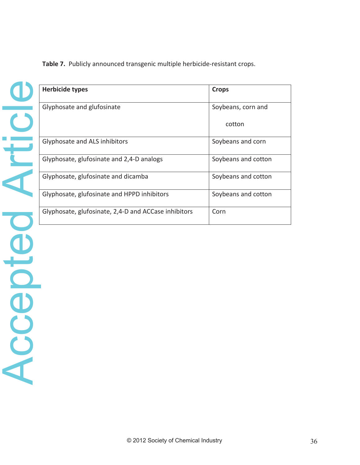| L. |  |
|----|--|
|    |  |
|    |  |
|    |  |
|    |  |
|    |  |
|    |  |
|    |  |
|    |  |
|    |  |
|    |  |
|    |  |
|    |  |

**Table 7.** Publicly announced transgenic multiple herbicide-resistant crops.

| <b>Herbicide types</b>                               | <b>Crops</b>        |
|------------------------------------------------------|---------------------|
| Glyphosate and glufosinate                           | Soybeans, corn and  |
|                                                      | cotton              |
| Glyphosate and ALS inhibitors                        | Soybeans and corn   |
| Glyphosate, glufosinate and 2,4-D analogs            | Soybeans and cotton |
| Glyphosate, glufosinate and dicamba                  | Soybeans and cotton |
| Glyphosate, glufosinate and HPPD inhibitors          | Soybeans and cotton |
| Glyphosate, glufosinate, 2,4-D and ACCase inhibitors | Corn                |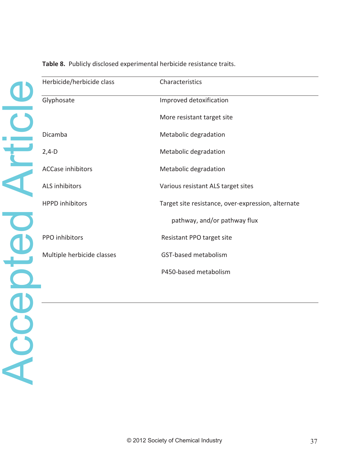| Herbicide/herbicide class  | Characteristics                                    |
|----------------------------|----------------------------------------------------|
| Glyphosate                 | Improved detoxification                            |
|                            | More resistant target site                         |
| Dicamba                    | Metabolic degradation                              |
| $2,4-D$                    | Metabolic degradation                              |
| <b>ACCase inhibitors</b>   | Metabolic degradation                              |
| <b>ALS inhibitors</b>      | Various resistant ALS target sites                 |
| <b>HPPD</b> inhibitors     | Target site resistance, over-expression, alternate |
|                            | pathway, and/or pathway flux                       |
| PPO inhibitors             | Resistant PPO target site                          |
| Multiple herbicide classes | GST-based metabolism                               |
|                            | P450-based metabolism                              |
|                            |                                                    |
|                            |                                                    |
|                            |                                                    |
|                            |                                                    |
|                            |                                                    |
|                            |                                                    |
|                            |                                                    |

Table 8. Publicly disclosed experimental herbicide resistance traits.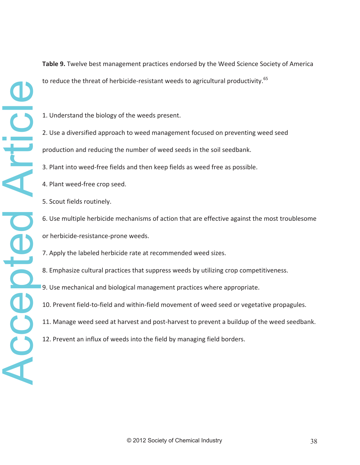**Table 9.** Twelve best management practices endorsed by the Weed Science Society of America to reduce the threat of herbicide-resistant weeds to agricultural productivity.<sup>65</sup>

- 1. Understand the biology of the weeds present.
- 2. Use a diversified approach to weed management focused on preventing weed seed production and reducing the number of weed seeds in the soil seedbank.
- 
- 3. Plant into weed-free fields and then keep fields as weed free as possible.
- 4. Plant weed-free crop seed.
- 5. Scout fields routinely.
- 6. Use multiple herbicide mechanisms of action that are effective against the most troublesome or herbicide-resistance-prone weeds.
- 7. Apply the labeled herbicide rate at recommended weed sizes.
- 8. Emphasize cultural practices that suppress weeds by utilizing crop competitiveness.
- 9. Use mechanical and biological management practices where appropriate.
- 10. Prevent field-to-field and within-field movement of weed seed or vegetative propagules.
- 11. Manage weed seed at harvest and post-harvest to prevent a buildup of the weed seedbank.
- 12. Prevent an influx of weeds into the field by managing field borders.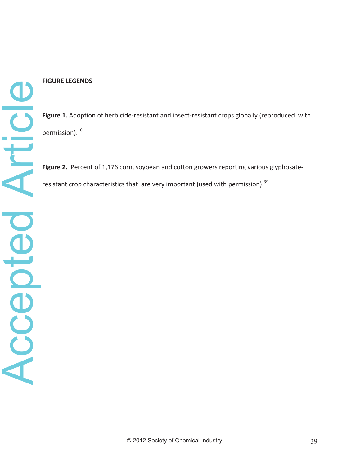### **FIGURE LEGENDS**

Figure 1. Adoption of herbicide-resistant and insect-resistant crops globally (reproduced with permission).10

Figure 2. Percent of 1,176 corn, soybean and cotton growers reporting various glyphosateresistant crop characteristics that are very important (used with permission). $39$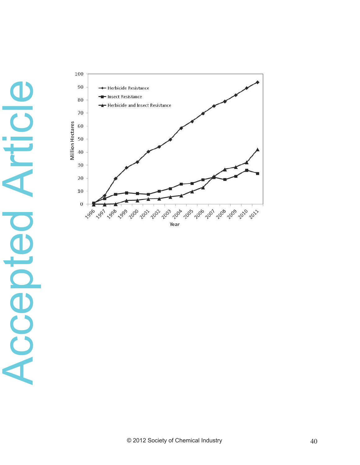

# Accepted Article Accepted Article